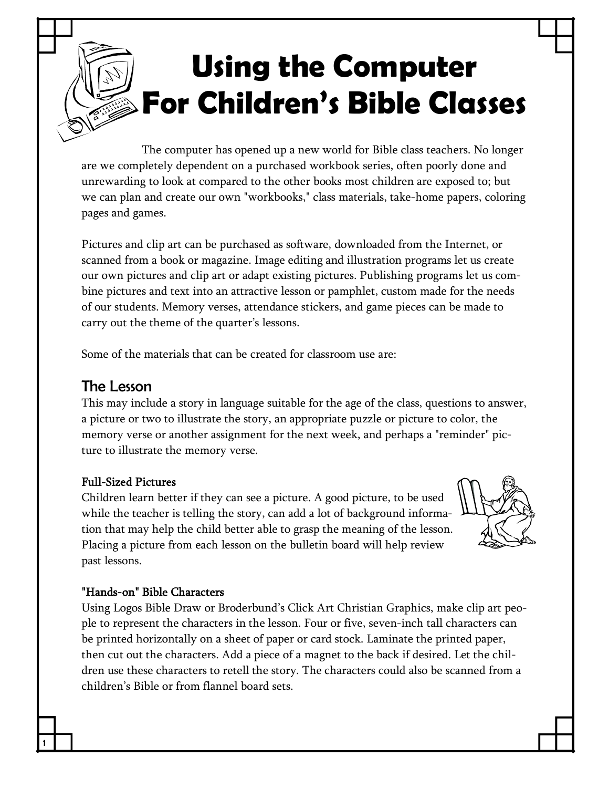# **Using the Computer For Children's Bible Classes**

The computer has opened up a new world for Bible class teachers. No longer are we completely dependent on a purchased workbook series, often poorly done and unrewarding to look at compared to the other books most children are exposed to; but we can plan and create our own "workbooks," class materials, take-home papers, coloring pages and games.

Pictures and clip art can be purchased as software, downloaded from the Internet, or scanned from a book or magazine. Image editing and illustration programs let us create our own pictures and clip art or adapt existing pictures. Publishing programs let us com bine pictures and text into an attractive lesson or pamphlet, custom made for the needs of our students. Memory verses, attendance stickers, and game pieces can be made to carry out the theme of the quarter's lessons.

Some of the materials that can be created for classroom use are:

### The Lesson

This may include a story in language suitable for the age of the class, questions to answer, a picture or two to illustrate the story, an appropriate puzzle or picture to color, the memory verse or another assignment for the next week, and perhaps a "reminder" pic ture to illustrate the memory verse.

#### **Full-Sized Pictures**

1

Children learn better if they can see a picture. A good picture, to be used while the teacher is telling the story, can add a lot of background informa tion that may help the child better able to grasp the meaning of the lesson. Placing a picture from each lesson on the bulletin board will help review past lessons.



#### "Hands-on" Bible Characters

Using Logos Bible Draw or Broderbund's Click Art Christian Graphics, make clip art peo ple to represent the characters in the lesson. Four or five, seven-inch tall characters can be printed horizontally on a sheet of paper or card stock. Laminate the printed paper, then cut out the characters. Add a piece of a magnet to the back if desired. Let the chil dren use these characters to retell the story. The characters could also be scanned from a children's Bible or from flannel board sets.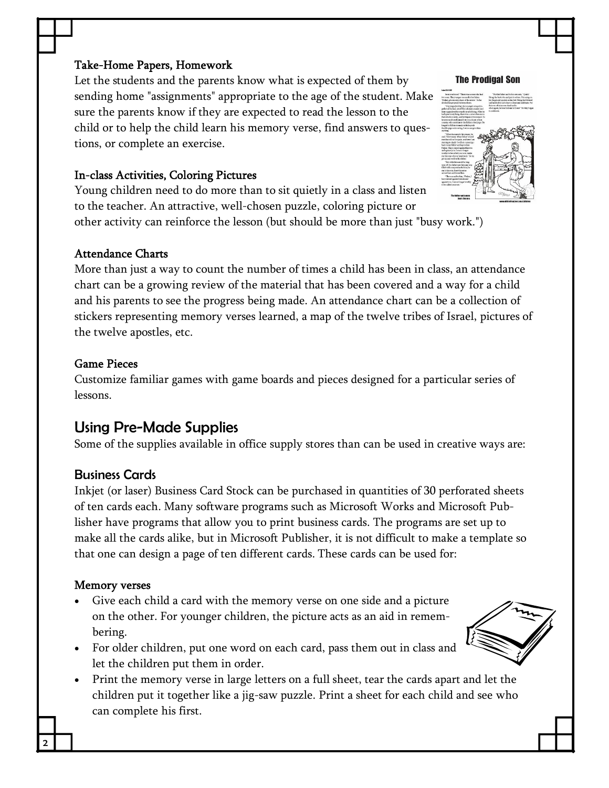#### Take-Home Papers, Homework

Let the students and the parents know what is expected of them by sending home "assignments" appropriate to the age of the student. Make sure the parents know if they are expected to read the lesson to the child or to help the child learn his memory verse, find answers to ques tions, or complete an exercise.

#### In-class Activities, Coloring Pictures

Young children need to do more than to sit quietly in a class and listen to the teacher. An attractive, well-chosen puzzle, coloring picture or other activity can reinforce the lesson (but should be more than just "busy work.")

#### Attendance Charts

More than just a way to count the number of times a child has been in class, an attendance chart can be a growing review of the material that has been covered and a way for a child and his parents to see the progress being made. An attendance chart can be a collection of stickers representing memory verses learned, a map of the twelve tribes of Israel, pictures of the twelve apostles, etc.

#### Game Pieces

Customize familiar games with game boards and pieces designed for a particular series of lessons.

# Using Pre‐Made Supplies

Some of the supplies available in office supply stores than can be used in creative ways are:

#### Business Cards

Inkjet (or laser) Business Card Stock can be purchased in quantities of 30 perforated sheets of ten cards each. Many software programs such as Microsoft Works and Microsoft Pub lisher have programs that allow you to print business cards. The programs are set up to make all the cards alike, but in Microsoft Publisher, it is not difficult to make a template so that one can design a page of ten different cards. These cards can be used for:

#### Memory verses

2 L

- Give each child a card with the memory verse on one side and a picture on the other. For younger children, the picture acts as an aid in remem bering.
- · For older children, put one word on each card, pass them out in class and let the children put them in order.
- · Print the memory verse in large letters on a full sheet, tear the cards apart and let the children put it together like a jig-saw puzzle. Print a sheet for each child and see who can complete his first.





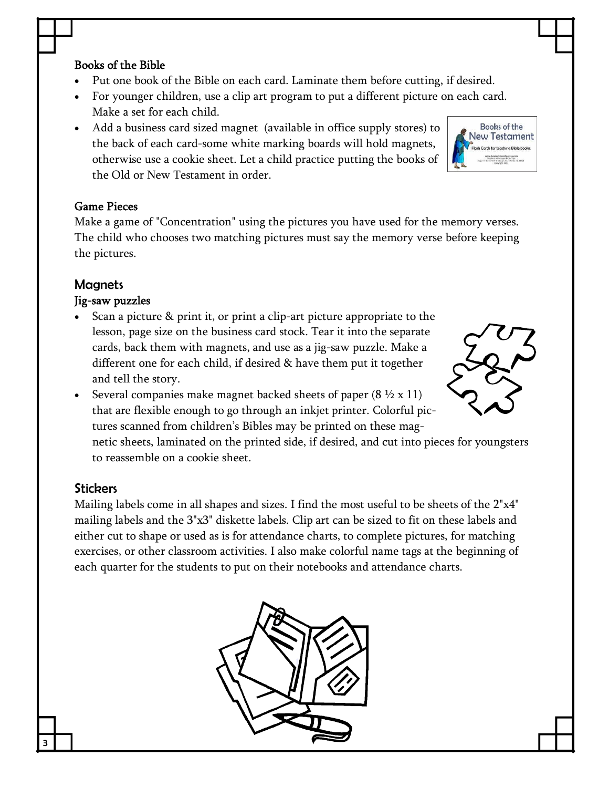#### Books of the Bible

- Put one book of the Bible on each card. Laminate them before cutting, if desired.
- · For younger children, use a clip art program to put a different picture on each card. Make a set for each child.
- · Add a business card sized magnet (available in office supply stores) to the back of each card-some white marking boards will hold magnets, otherwise use a cookie sheet. Let a child practice putting the books of the Old or New Testament in order.

#### Game Pieces

Make a game of "Concentration" using the pictures you have used for the memory verses. The child who chooses two matching pictures must say the memory verse before keeping the pictures.

#### **Magnets**

#### Jig-saw puzzles

- Scan a picture & print it, or print a clip-art picture appropriate to the lesson, page size on the business card stock. Tear it into the separate cards, back them with magnets, and use as a jig-saw puzzle. Make a different one for each child, if desired & have them put it together and tell the story.
- Several companies make magnet backed sheets of paper  $(8 \frac{1}{2} \times 11)$ that are flexible enough to go through an inkjet printer. Colorful pic tures scanned from children's Bibles may be printed on these mag netic sheets, laminated on the printed side, if desired, and cut into pieces for youngsters to reassemble on a cookie sheet.

#### **Stickers**

3 I

Mailing labels come in all shapes and sizes. I find the most useful to be sheets of the 2"x4" mailing labels and the 3"x3" diskette labels. Clip art can be sized to fit on these labels and either cut to shape or used as is for attendance charts, to complete pictures, for matching exercises, or other classroom activities. I also make colorful name tags at the beginning of each quarter for the students to put on their notebooks and attendance charts.





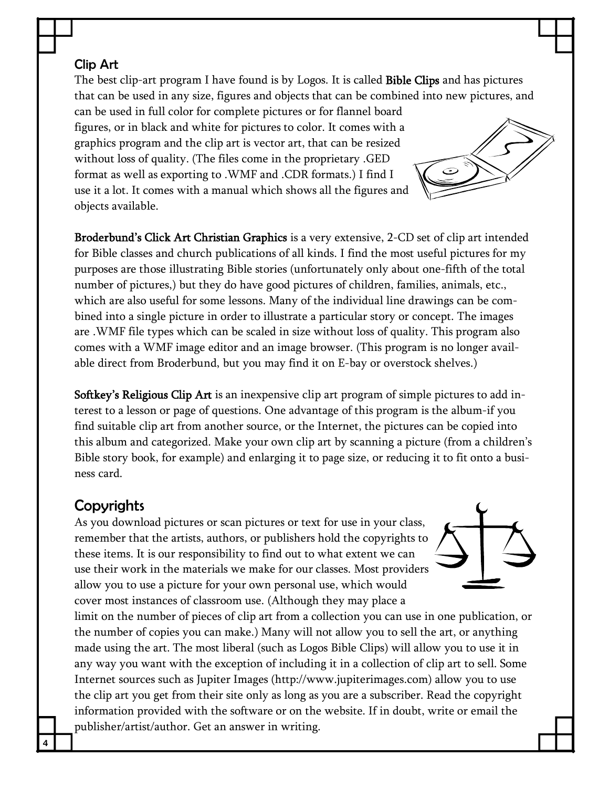#### Clip Art

The best clip-art program I have found is by Logos. It is called **Bible Clips** and has pictures that can be used in any size, figures and objects that can be combined into new pictures, and

can be used in full color for complete pictures or for flannel board figures, or in black and white for pictures to color. It comes with a graphics program and the clip art is vector art, that can be resized without loss of quality. (The files come in the proprietary .GED format as well as exporting to .WMF and .CDR formats.) I find I use it a lot. It comes with a manual which shows all the figures and objects available.

Broderbund's Click Art Christian Graphics is a very extensive, 2-CD set of clip art intended for Bible classes and church publications of all kinds. I find the most useful pictures for my purposes are those illustrating Bible stories (unfortunately only about one-fifth of the total number of pictures,) but they do have good pictures of children, families, animals, etc., which are also useful for some lessons. Many of the individual line drawings can be com bined into a single picture in order to illustrate a particular story or concept. The images are .WMF file types which can be scaled in size without loss of quality. This program also comes with a WMF image editor and an image browser. (This program is no longer avail able direct from Broderbund, but you may find it on E-bay or overstock shelves.)

Softkey's Religious Clip Art is an inexpensive clip art program of simple pictures to add interest to a lesson or page of questions. One advantage of this program is the album-if you find suitable clip art from another source, or the Internet, the pictures can be copied into this album and categorized. Make your own clip art by scanning a picture (from a children's Bible story book, for example) and enlarging it to page size, or reducing it to fit onto a busi ness card.

# **Copyrights**

4 I

As you download pictures or scan pictures or text for use in your class, remember that the artists, authors, or publishers hold the copyrights to these items. It is our responsibility to find out to what extent we can use their work in the materials we make for our classes. Most providers allow you to use a picture for your own personal use, which would cover most instances of classroom use. (Although they may place a

limit on the number of pieces of clip art from a collection you can use in one publication, or the number of copies you can make.) Many will not allow you to sell the art, or anything made using the art. The most liberal (such as Logos Bible Clips) will allow you to use it in any way you want with the exception of including it in a collection of clip art to sell. Some Internet sources such as Jupiter Images (http://www.jupiterimages.com) allow you to use the clip art you get from their site only as long as you are a subscriber. Read the copyright information provided with the software or on the website. If in doubt, write or email the publisher/artist/author. Get an answer in writing.



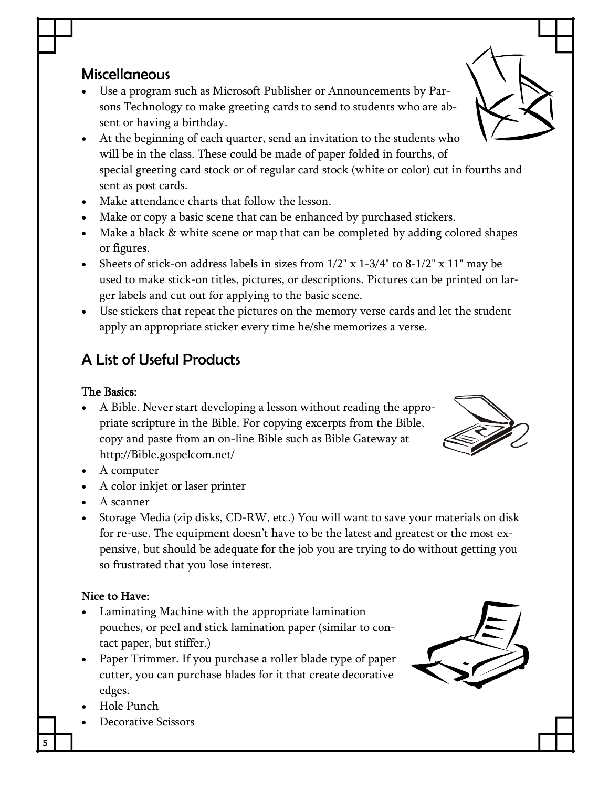# Miscellaneous

- Use a program such as Microsoft Publisher or Announcements by Parsons Technology to make greeting cards to send to students who are ab sent or having a birthday.
- · At the beginning of each quarter, send an invitation to the students who will be in the class. These could be made of paper folded in fourths, of special greeting card stock or of regular card stock (white or color) cut in fourths and sent as post cards.
- · Make attendance charts that follow the lesson.
- · Make or copy a basic scene that can be enhanced by purchased stickers.
- · Make a black & white scene or map that can be completed by adding colored shapes or figures.
- Sheets of stick-on address labels in sizes from  $1/2$ " x  $1-3/4$ " to  $8-1/2$ " x  $11$ " may be used to make stick-on titles, pictures, or descriptions. Pictures can be printed on larger labels and cut out for applying to the basic scene.
- · Use stickers that repeat the pictures on the memory verse cards and let the student apply an appropriate sticker every time he/she memorizes a verse.

# A List of Useful Products

#### The Basics:

- A Bible. Never start developing a lesson without reading the appropriate scripture in the Bible. For copying excerpts from the Bible, copy and paste from an on-line Bible such as Bible Gateway at http://Bible.gospelcom.net/
- · A computer
- · A color inkjet or laser printer
- · A scanner
- Storage Media (zip disks, CD-RW, etc.) You will want to save your materials on disk for re-use. The equipment doesn't have to be the latest and greatest or the most expensive, but should be adequate for the job you are trying to do without getting you so frustrated that you lose interest.

### Nice to Have:

- Laminating Machine with the appropriate lamination pouches, or peel and stick lamination paper (similar to con tact paper, but stiffer.)
- Paper Trimmer. If you purchase a roller blade type of paper cutter, you can purchase blades for it that create decorative edges.
- · Hole Punch

5 I

Decorative Scissors





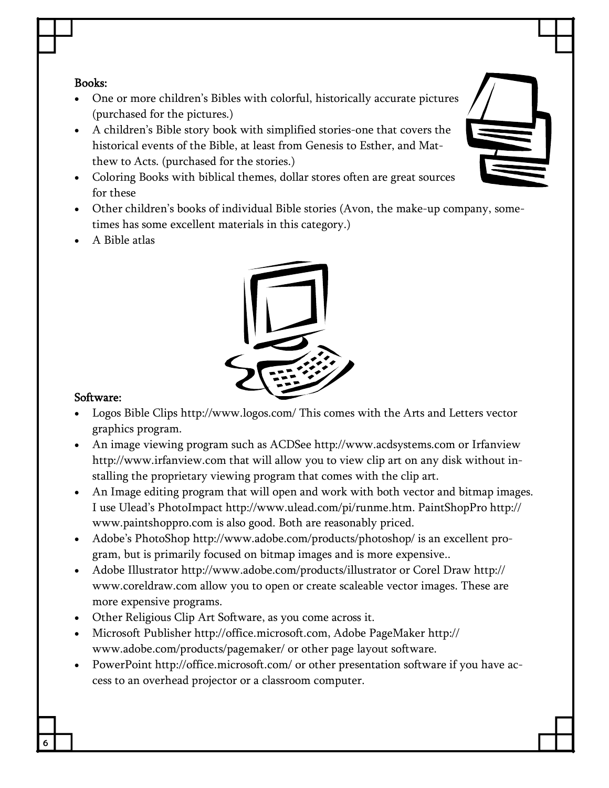#### Books:

- · One or more children's Bibles with colorful, historically accurate pictures (purchased for the pictures.)
- A children's Bible story book with simplified stories-one that covers the historical events of the Bible, at least from Genesis to Esther, and Mat thew to Acts. (purchased for the stories.)
- · Coloring Books with biblical themes, dollar stores often are great sources for these
- Other children's books of individual Bible stories (Avon, the make-up company, sometimes has some excellent materials in this category.)
- · A Bible atlas



#### Software:

6 |

- · Logos Bible Clips http://www.logos.com/ This comes with the Arts and Letters vector graphics program.
- · An image viewing program such as ACDSee http://www.acdsystems.com or Irfanview http://www.irfanview.com that will allow you to view clip art on any disk without in stalling the proprietary viewing program that comes with the clip art.
- An Image editing program that will open and work with both vector and bitmap images. I use Ulead's PhotoImpact http://www.ulead.com/pi/runme.htm. PaintShopPro http:// www.paintshoppro.com is also good. Both are reasonably priced.
- · Adobe's PhotoShop http://www.adobe.com/products/photoshop/ is an excellent pro gram, but is primarily focused on bitmap images and is more expensive..
- · Adobe Illustrator http://www.adobe.com/products/illustrator or Corel Draw http:// www.coreldraw.com allow you to open or create scaleable vector images. These are more expensive programs.
- · Other Religious Clip Art Software, as you come across it.
- · Microsoft Publisher http://office.microsoft.com, Adobe PageMaker http:// www.adobe.com/products/pagemaker/ or other page layout software.
- · PowerPoint http://office.microsoft.com/ or other presentation software if you have ac cess to an overhead projector or a classroom computer.